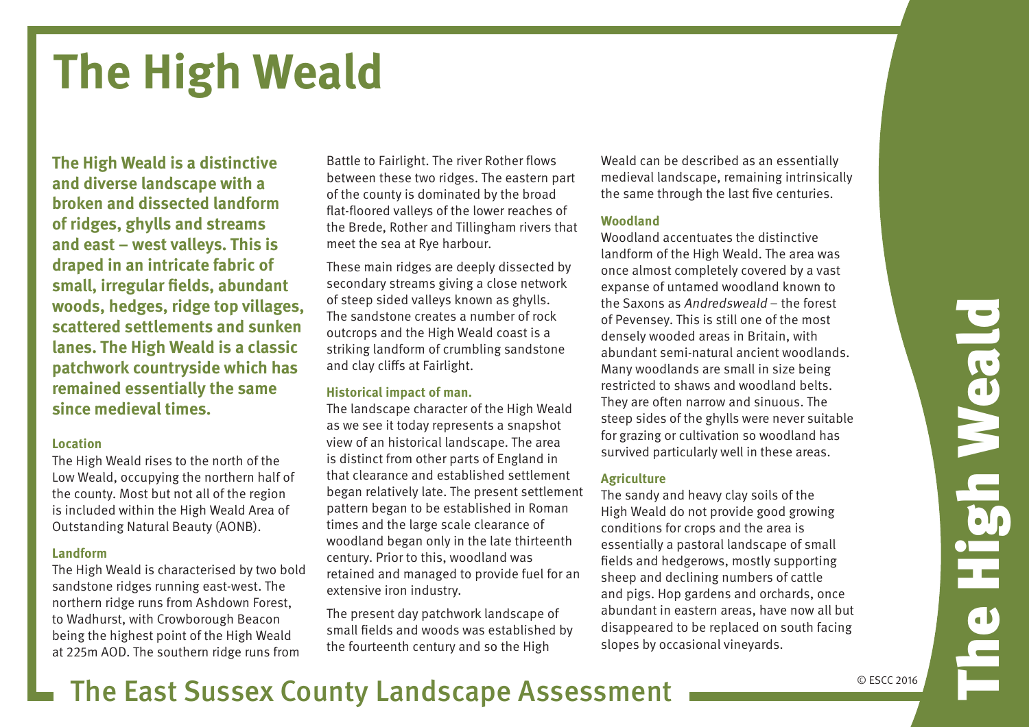## **The High Weald**

**The High Weald is a distinctive and diverse landscape with a broken and dissected landform of ridges, ghylls and streams and east – west valleys. This is draped in an intricate fabric of small, irregular fields, abundant woods, hedges, ridge top villages, scattered settlements and sunken lanes. The High Weald is a classic patchwork countryside which has remained essentially the same since medieval times.**

#### **Location**

The High Weald rises to the north of the Low Weald, occupying the northern half of the county. Most but not all of the region is included within the High Weald Area of Outstanding Natural Beauty (AONB).

#### **Landform**

The High Weald is characterised by two bold sandstone ridges running east-west. The northern ridge runs from Ashdown Forest, to Wadhurst, with Crowborough Beacon being the highest point of the High Weald at 225m AOD. The southern ridge runs from

Battle to Fairlight. The river Rother flows between these two ridges. The eastern part of the county is dominated by the broad flat-floored valleys of the lower reaches of the Brede, Rother and Tillingham rivers that meet the sea at Rye harbour.

These main ridges are deeply dissected by secondary streams giving a close network of steep sided valleys known as ghylls. The sandstone creates a number of rock outcrops and the High Weald coast is a striking landform of crumbling sandstone and clay cliffs at Fairlight.

#### **Historical impact of man.**

The landscape character of the High Weald as we see it today represents a snapshot view of an historical landscape. The area is distinct from other parts of England in that clearance and established settlement began relatively late. The present settlement pattern began to be established in Roman times and the large scale clearance of woodland began only in the late thirteenth century. Prior to this, woodland was retained and managed to provide fuel for an extensive iron industry.

The present day patchwork landscape of small fields and woods was established by the fourteenth century and so the High

Weald can be described as an essentially medieval landscape, remaining intrinsically the same through the last five centuries.

#### **Woodland**

Woodland accentuates the distinctive landform of the High Weald. The area was once almost completely covered by a vast expanse of untamed woodland known to the Saxons as Andredsweald – the forest of Pevensey. This is still one of the most densely wooded areas in Britain, with abundant semi-natural ancient woodlands. Many woodlands are small in size being restricted to shaws and woodland belts. They are often narrow and sinuous. The steep sides of the ghylls were never suitable for grazing or cultivation so woodland has survived particularly well in these areas.

#### **Agriculture**

The sandy and heavy clay soils of the High Weald do not provide good growing conditions for crops and the area is essentially a pastoral landscape of small fields and hedgerows, mostly supporting sheep and declining numbers of cattle and pigs. Hop gardens and orchards, once abundant in eastern areas, have now all but disappeared to be replaced on south facing slopes by occasional vineyards.

## The East Sussex County Landscape Assessment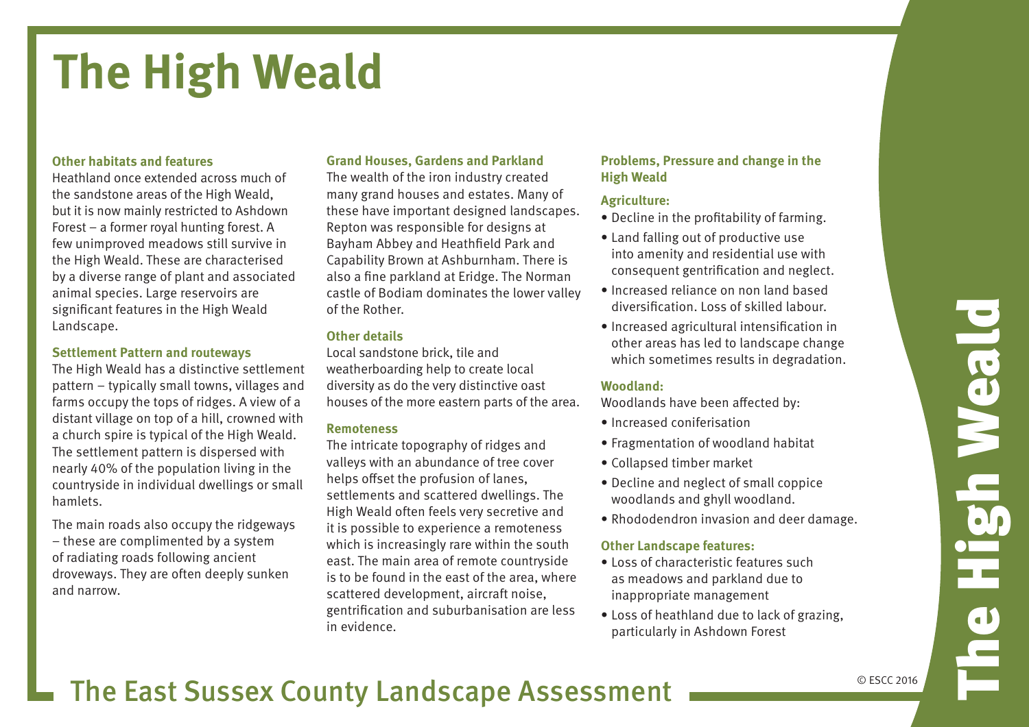# The High Weald Neal den<br>Historia

## **The High Weald**

#### **Other habitats and features**

Heathland once extended across much of the sandstone areas of the High Weald, but it is now mainly restricted to Ashdown Forest – a former royal hunting forest. A few unimproved meadows still survive in the High Weald. These are characterised by a diverse range of plant and associated animal species. Large reservoirs are significant features in the High Weald Landscape.

#### **Settlement Pattern and routeways**

The High Weald has a distinctive settlement pattern – typically small towns, villages and farms occupy the tops of ridges. A view of a distant village on top of a hill, crowned with a church spire is typical of the High Weald. The settlement pattern is dispersed with nearly 40% of the population living in the countryside in individual dwellings or small hamlets.

The main roads also occupy the ridgeways – these are complimented by a system of radiating roads following ancient droveways. They are often deeply sunken and narrow.

#### **Grand Houses, Gardens and Parkland**

The wealth of the iron industry created many grand houses and estates. Many of these have important designed landscapes. Repton was responsible for designs at Bayham Abbey and Heathfield Park and Capability Brown at Ashburnham. There is also a fine parkland at Eridge. The Norman castle of Bodiam dominates the lower valley of the Rother.

#### **Other details**

Local sandstone brick, tile and weatherboarding help to create local diversity as do the very distinctive oast houses of the more eastern parts of the area.

#### **Remoteness**

The intricate topography of ridges and valleys with an abundance of tree cover helps offset the profusion of lanes, settlements and scattered dwellings. The High Weald often feels very secretive and it is possible to experience a remoteness which is increasingly rare within the south east. The main area of remote countryside is to be found in the east of the area, where scattered development, aircraft noise, gentrification and suburbanisation are less in evidence.

#### **Problems, Pressure and change in the High Weald**

#### **Agriculture:**

- Decline in the profitability of farming.
- Land falling out of productive use into amenity and residential use with consequent gentrification and neglect.
- Increased reliance on non land based diversification. Loss of skilled labour.
- • Increased agricultural intensification in other areas has led to landscape change which sometimes results in degradation.

#### **Woodland:**

Woodlands have been affected by:

- • Increased coniferisation
- Fragmentation of woodland habitat
- • Collapsed timber market
- • Decline and neglect of small coppice woodlands and ghyll woodland.
- Rhododendron invasion and deer damage.

#### **Other Landscape features:**

- Loss of characteristic features such as meadows and parkland due to inappropriate management
- Loss of heathland due to lack of grazing. particularly in Ashdown Forest

### The East Sussex County Landscape Assessment

© ESCC 2016